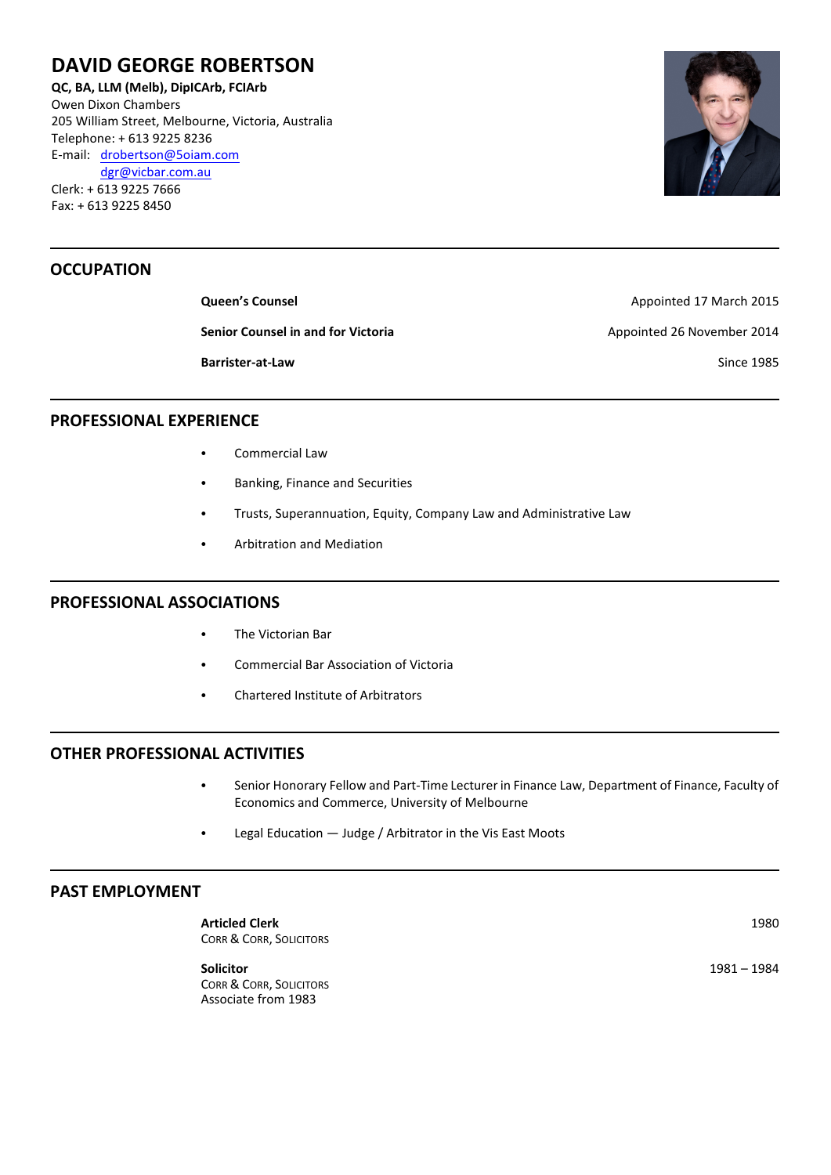# **DAVID GEORGE ROBERTSON**

**QC, BA, LLM (Melb), DipICArb, FCIArb** Owen Dixon Chambers 205 William Street, Melbourne, Victoria, Australia Telephone: + 613 9225 8236 E-mail: [drobertson@5oiam.com](mailto:dgr@vicbar.com.au) [dgr@vicbar.com.au](mailto:dgr@vicbar.com.au) Clerk: + 613 9225 7666 Fax: + 613 9225 8450

# **OCCUPATION**

**Senior Counsel in and for Victoria** Appointed 26 November 2014

**Queen's Counsel Appointed 17 March 2015 Barrister-at-Law** Since 1985

### **PROFESSIONAL EXPERIENCE**

- Commercial Law
- Banking, Finance and Securities
- Trusts, Superannuation, Equity, Company Law and Administrative Law
- **Arbitration and Mediation**

#### **PROFESSIONAL ASSOCIATIONS**

- The Victorian Bar
- Commercial Bar Association of Victoria
- Chartered Institute of Arbitrators

# **OTHER PROFESSIONAL ACTIVITIES**

- Senior Honorary Fellow and Part-Time Lecturer in Finance Law, Department of Finance, Faculty of Economics and Commerce, University of Melbourne
- $\cdot$  Legal Education  $-$  Judge / Arbitrator in the Vis East Moots

#### **PAST EMPLOYMENT**

**Articled Clerk** 1980 CORR & CORR, SOLICITORS

**Solicitor** 1981 – 1984 CORR & CORR, SOLICITORS Associate from 1983

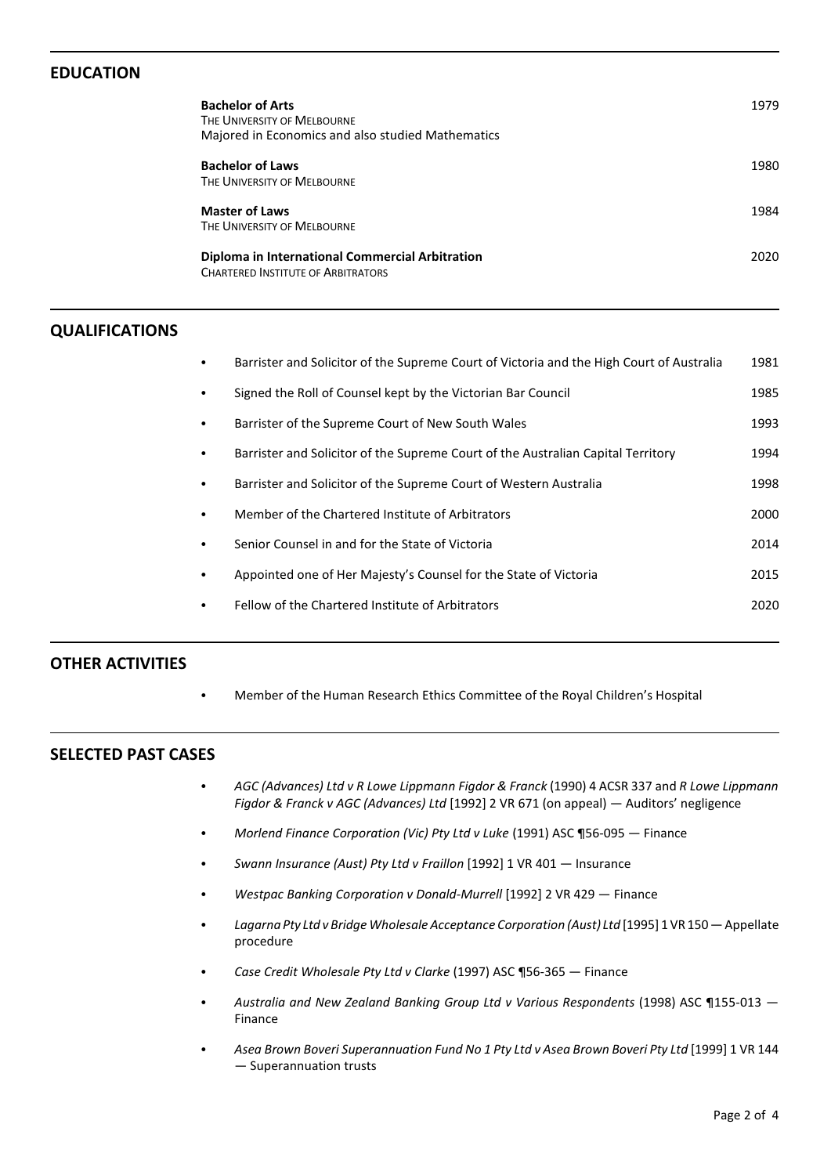# **EDUCATION**

| <b>Bachelor of Arts</b><br>THE UNIVERSITY OF MELBOURNE<br>Majored in Economics and also studied Mathematics | 1979 |
|-------------------------------------------------------------------------------------------------------------|------|
| <b>Bachelor of Laws</b><br>THE UNIVERSITY OF MELBOURNE                                                      | 1980 |
| <b>Master of Laws</b><br>THE UNIVERSITY OF MELBOURNE                                                        | 1984 |
| Diploma in International Commercial Arbitration<br><b>CHARTERED INSTITUTE OF ARBITRATORS</b>                | 2020 |

#### **QUALIFICATIONS**

|           | Barrister and Solicitor of the Supreme Court of Victoria and the High Court of Australia | 1981 |
|-----------|------------------------------------------------------------------------------------------|------|
|           | Signed the Roll of Counsel kept by the Victorian Bar Council                             | 1985 |
|           | Barrister of the Supreme Court of New South Wales                                        | 1993 |
| ٠         | Barrister and Solicitor of the Supreme Court of the Australian Capital Territory         | 1994 |
| $\bullet$ | Barrister and Solicitor of the Supreme Court of Western Australia                        | 1998 |
| ٠         | Member of the Chartered Institute of Arbitrators                                         | 2000 |
| ٠         | Senior Counsel in and for the State of Victoria                                          | 2014 |
| ٠         | Appointed one of Her Majesty's Counsel for the State of Victoria                         | 2015 |
| ٠         | Fellow of the Chartered Institute of Arbitrators                                         | 2020 |
|           |                                                                                          |      |

### **OTHER ACTIVITIES**

• Member of the Human Research Ethics Committee of the Royal Children's Hospital

### **SELECTED PAST CASES**

- C *AGC (Advances) Ltd v R Lowe Lippmann Figdor & Franck* (1990) 4 ACSR 337 and *R Lowe Lippmann Figdor & Franck v AGC (Advances) Ltd* [1992] 2 VR 671 (on appeal) — Auditors' negligence
- C *Morlend Finance Corporation (Vic) Pty Ltd v Luke* (1991) ASC ¶56-095 Finance
- C *Swann Insurance (Aust) Pty Ltd v Fraillon* [1992] 1 VR 401 Insurance
- C *Westpac Banking Corporation v Donald-Murrell* [1992] 2 VR 429 Finance
- C *Lagarna Pty Ltd v Bridge Wholesale Acceptance Corporation (Aust) Ltd* [1995] 1 VR 150 Appellate procedure
- C *Case Credit Wholesale Pty Ltd v Clarke* (1997) ASC ¶56-365 Finance
- C *Australia and New Zealand Banking Group Ltd v Various Respondents* (1998) ASC ¶155-013 Finance
- C *Asea Brown Boveri Superannuation Fund No 1 Pty Ltd v Asea Brown Boveri Pty Ltd* [1999] 1 VR 144 — Superannuation trusts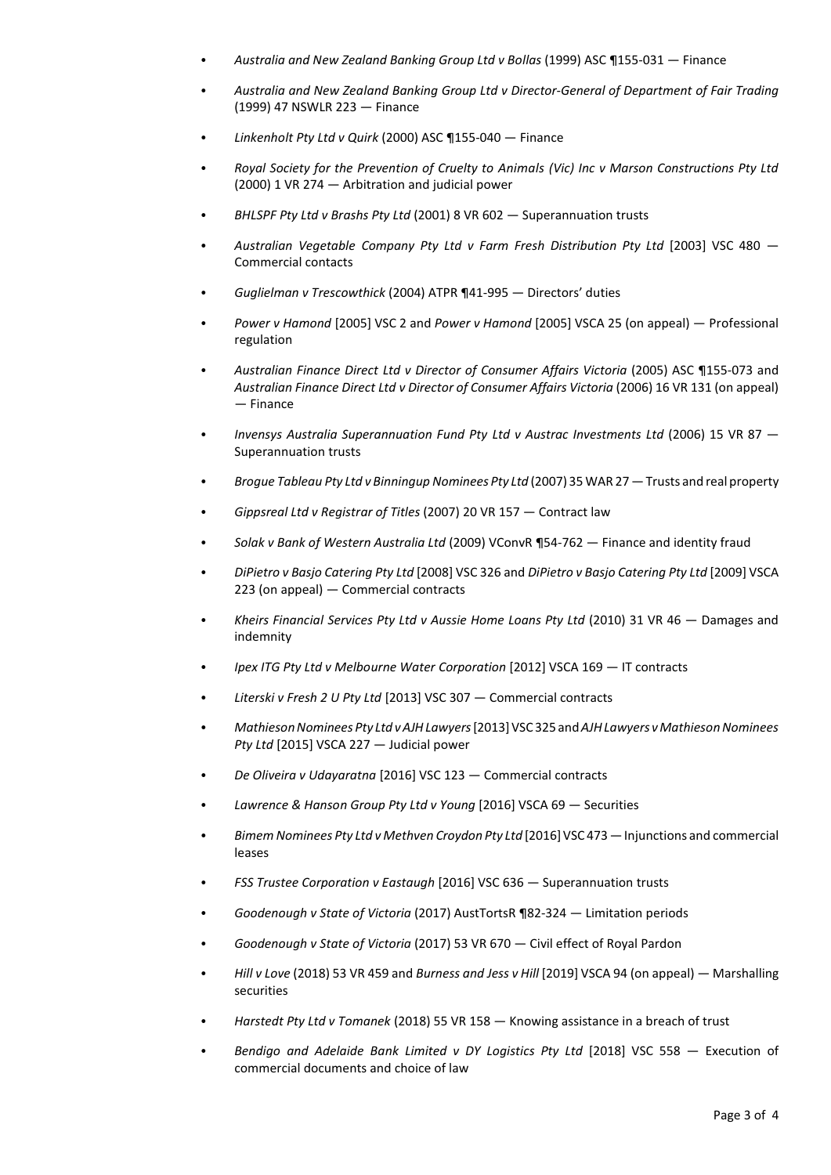- C *Australia and New Zealand Banking Group Ltd v Bollas* (1999) ASC ¶155-031 Finance
- C *Australia and New Zealand Banking Group Ltd v Director-General of Department of Fair Trading* (1999) 47 NSWLR 223 — Finance
- C *Linkenholt Pty Ltd v Quirk* (2000) ASC ¶155-040 Finance
- C *Royal Society for the Prevention of Cruelty to Animals (Vic) Inc v Marson Constructions Pty Ltd* (2000) 1 VR 274 — Arbitration and judicial power
- C *BHLSPF Pty Ltd v Brashs Pty Ltd* (2001) 8 VR 602 Superannuation trusts
- C *Australian Vegetable Company Pty Ltd v Farm Fresh Distribution Pty Ltd* [2003] VSC 480 Commercial contacts
- C *Guglielman v Trescowthick* (2004) ATPR ¶41-995 Directors' duties
- C *Power v Hamond* [2005] VSC 2 and *Power v Hamond* [2005] VSCA 25 (on appeal) Professional regulation
- C *Australian Finance Direct Ltd v Director of Consumer Affairs Victoria* (2005) ASC ¶155-073 and *Australian Finance Direct Ltd v Director of Consumer Affairs Victoria* (2006) 16 VR 131 (on appeal) — Finance
- C *Invensys Australia Superannuation Fund Pty Ltd v Austrac Investments Ltd* (2006) 15 VR 87 Superannuation trusts
- C *Brogue Tableau Pty Ltd v Binningup Nominees Pty Ltd* (2007) 35 WAR 27 Trusts and real property
- C *Gippsreal Ltd v Registrar of Titles* (2007) 20 VR 157 Contract law
- C *Solak v Bank of Western Australia Ltd* (2009) VConvR ¶54-762 Finance and identity fraud
- C *DiPietro v Basjo Catering Pty Ltd* [2008] VSC 326 and *DiPietro v Basjo Catering Pty Ltd* [2009] VSCA 223 (on appeal) — Commercial contracts
- C *Kheirs Financial Services Pty Ltd v Aussie Home Loans Pty Ltd* (2010) 31 VR 46 Damages and indemnity
- C *Ipex ITG Pty Ltd v Melbourne Water Corporation* [2012] VSCA 169 IT contracts
- C *Literski v Fresh 2 U Pty Ltd* [2013] VSC 307 Commercial contracts
- C *Mathieson Nominees Pty Ltd v AJH Lawyers*[2013]VSC 325 and *AJH Lawyers v Mathieson Nominees Pty Ltd* [2015] VSCA 227 — Judicial power
- C *De Oliveira v Udayaratna* [2016] VSC 123 Commercial contracts
- C *Lawrence & Hanson Group Pty Ltd v Young* [2016] VSCA 69 Securities
- Bimem Nominees Pty Ltd v Methven Croydon Pty Ltd [2016] VSC 473 Injunctions and commercial leases
- FSS Trustee Corporation v Eastaugh [2016] VSC 636 Superannuation trusts
- C *Goodenough v State of Victoria* (2017) AustTortsR ¶82-324 Limitation periods
- C *Goodenough v State of Victoria* (2017) 53 VR 670 Civil effect of Royal Pardon
- C *Hill v Love* (2018) 53 VR 459 and *Burness and Jess v Hill* [2019] VSCA 94 (on appeal) Marshalling securities
- C *Harstedt Pty Ltd v Tomanek* (2018) 55 VR 158 Knowing assistance in a breach of trust
- C *Bendigo and Adelaide Bank Limited v DY Logistics Pty Ltd* [2018] VSC 558 Execution of commercial documents and choice of law